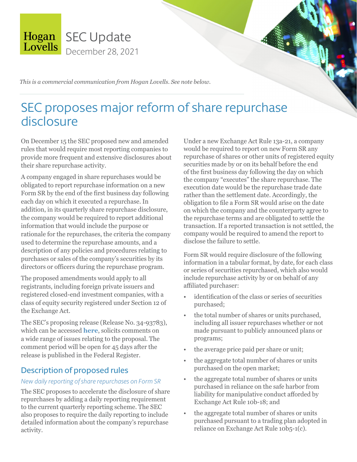

*This is a commercial communication from Hogan Lovells. See note below.*

# SEC proposes major reform of share repurchase disclosure

On December 15 the SEC proposed new and amended rules that would require most reporting companies to provide more frequent and extensive disclosures about their share repurchase activity.

A company engaged in share repurchases would be obligated to report repurchase information on a new Form SR by the end of the first business day following each day on which it executed a repurchase. In addition, in its quarterly share repurchase disclosure, the company would be required to report additional information that would include the purpose or rationale for the repurchases, the criteria the company used to determine the repurchase amounts, and a description of any policies and procedures relating to purchases or sales of the company's securities by its directors or officers during the repurchase program.

The proposed amendments would apply to all registrants, including foreign private issuers and registered closed-end investment companies, with a class of equity security registered under Section 12 of the Exchange Act.

The SEC's proposing release (Release No. 34-93783), which can be accessed **[here](https://www.sec.gov/rules/proposed/2021/34-93783.pdf)**, solicits comments on a wide range of issues relating to the proposal. The comment period will be open for 45 days after the release is published in the Federal Register.

### Description of proposed rules

### *New daily reporting of share repurchases on Form SR*

The SEC proposes to accelerate the disclosure of share repurchases by adding a daily reporting requirement to the current quarterly reporting scheme. The SEC also proposes to require the daily reporting to include detailed information about the company's repurchase activity.

Under a new Exchange Act Rule 13a-21, a company would be required to report on new Form SR any repurchase of shares or other units of registered equity securities made by or on its behalf before the end of the first business day following the day on which the company "executes" the share repurchase. The execution date would be the repurchase trade date rather than the settlement date. Accordingly, the obligation to file a Form SR would arise on the date on which the company and the counterparty agree to the repurchase terms and are obligated to settle the transaction. If a reported transaction is not settled, the company would be required to amend the report to disclose the failure to settle.

Form SR would require disclosure of the following information in a tabular format, by date, for each class or series of securities repurchased, which also would include repurchase activity by or on behalf of any affiliated purchaser:

- identification of the class or series of securities purchased;
- the total number of shares or units purchased, including all issuer repurchases whether or not made pursuant to publicly announced plans or programs;
- the average price paid per share or unit;
- the aggregate total number of shares or units purchased on the open market;
- the aggregate total number of shares or units purchased in reliance on the safe harbor from liability for manipulative conduct afforded by Exchange Act Rule 10b-18; and
- the aggregate total number of shares or units purchased pursuant to a trading plan adopted in reliance on Exchange Act Rule 10b5-1(c).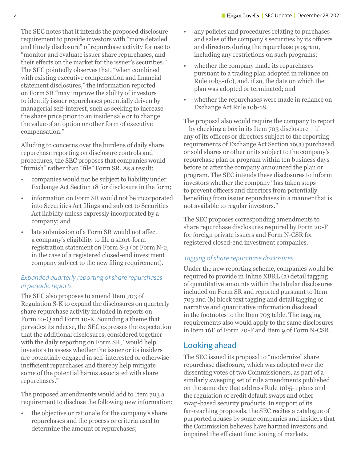The SEC notes that it intends the proposed disclosure requirement to provide investors with "more detailed and timely disclosure" of repurchase activity for use to "monitor and evaluate issuer share repurchases, and their effects on the market for the issuer's securities." The SEC pointedly observes that, "when combined with existing executive compensation and financial statement disclosures," the information reported on Form SR "may improve the ability of investors to identify issuer repurchases potentially driven by managerial self-interest, such as seeking to increase the share price prior to an insider sale or to change the value of an option or other form of executive compensation."

Alluding to concerns over the burdens of daily share repurchase reporting on disclosure controls and procedures, the SEC proposes that companies would "furnish" rather than "file" Form SR. As a result:

- companies would not be subject to liability under Exchange Act Section 18 for disclosure in the form;
- information on Form SR would not be incorporated into Securities Act filings and subject to Securities Act liability unless expressly incorporated by a company; and
- late submission of a Form SR would not affect a company's eligibility to file a short-form registration statement on Form S-3 (or Form N-2, in the case of a registered closed-end investment company subject to the new filing requirement).

### *Expanded quarterly reporting of share repurchases in periodic reports*

The SEC also proposes to amend Item 703 of Regulation S-K to expand the disclosures on quarterly share repurchase activity included in reports on Form 10-Q and Form 10-K. Sounding a theme that pervades its release, the SEC expresses the expectation that the additional disclosures, considered together with the daily reporting on Form SR, "would help investors to assess whether the issuer or its insiders are potentially engaged in self-interested or otherwise inefficient repurchases and thereby help mitigate some of the potential harms associated with share repurchases."

The proposed amendments would add to Item 703 a requirement to disclose the following new information:

• the objective or rationale for the company's share repurchases and the process or criteria used to determine the amount of repurchases;

- any policies and procedures relating to purchases and sales of the company's securities by its officers and directors during the repurchase program, including any restrictions on such programs;
- whether the company made its repurchases pursuant to a trading plan adopted in reliance on Rule 10b5-1(c), and, if so, the date on which the plan was adopted or terminated; and
- whether the repurchases were made in reliance on Exchange Act Rule 10b-18.

The proposal also would require the company to report – by checking a box in its Item 703 disclosure – if any of its officers or directors subject to the reporting requirements of Exchange Act Section 16(a) purchased or sold shares or other units subject to the company's repurchase plan or program within ten business days before or after the company announced the plan or program. The SEC intends these disclosures to inform investors whether the company "has taken steps to prevent officers and directors from potentially benefiting from issuer repurchases in a manner that is not available to regular investors."

The SEC proposes corresponding amendments to share repurchase disclosures required by Form 20-F for foreign private issuers and Form N-CSR for registered closed-end investment companies.

### *Tagging of share repurchase disclosures*

Under the new reporting scheme, companies would be required to provide in Inline XBRL (a) detail tagging of quantitative amounts within the tabular disclosures included on Form SR and reported pursuant to Item 703 and (b) block text tagging and detail tagging of narrative and quantitative information disclosed in the footnotes to the Item 703 table. The tagging requirements also would apply to the same disclosures in Item 16E of Form 20-F and Item 9 of Form N-CSR.

### Looking ahead

The SEC issued its proposal to "modernize" share repurchase disclosure, which was adopted over the dissenting votes of two Commissioners, as part of a similarly sweeping set of rule amendments published on the same day that address Rule 10b5-1 plans and the regulation of credit default swaps and other swap-based security products. In support of its far-reaching proposals, the SEC recites a catalogue of purported abuses by some companies and insiders that the Commission believes have harmed investors and impaired the efficient functioning of markets.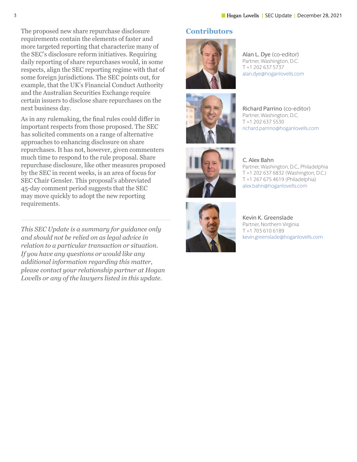The proposed new share repurchase disclosure requirements contain the elements of faster and more targeted reporting that characterize many of the SEC's disclosure reform initiatives. Requiring daily reporting of share repurchases would, in some respects, align the SEC reporting regime with that of some foreign jurisdictions. The SEC points out, for example, that the UK's Financial Conduct Authority and the Australian Securities Exchange require certain issuers to disclose share repurchases on the next business day.

As in any rulemaking, the final rules could differ in important respects from those proposed. The SEC has solicited comments on a range of alternative approaches to enhancing disclosure on share repurchases. It has not, however, given commenters much time to respond to the rule proposal. Share repurchase disclosure, like other measures proposed by the SEC in recent weeks, is an area of focus for SEC Chair Gensler. This proposal's abbreviated 45-day comment period suggests that the SEC may move quickly to adopt the new reporting requirements.

*This SEC Update is a summary for guidance only and should not be relied on as legal advice in relation to a particular transaction or situation. If you have any questions or would like any additional information regarding this matter, please contact your relationship partner at Hogan Lovells or any of the lawyers listed in this update.* 

### **Contributors**



Alan L. Dye (co-editor) Partner, Washington, D.C. T +1 202 637 5737 alan.dye[@hoganlovells.com](mailto:alan.dye%40hoganlovells.com?subject=)





Richard Parrino (co-editor) Partner, Washington, D.C. T +1 202 637 5530 richard.parrino[@hoganlovells.com](mailto:richard.parrino%40hoganlovells.com?subject=)

C. Alex Bahn Partner, Washington, D.C., Philadelphia T +1 202 637 6832 (Washington, D.C.) T +1 267 675 4619 (Philadelphia) [alex.bahn@hoganlovells.com](mailto:alex.bahn%40hoganlovells.com?subject=)



Kevin K. Greenslade Partner, Northern Virginia T +1 703 610 6189 kevin.greenslade[@hoganlovells.com](mailto:kevin.greenslade%40hoganlovells.com?subject=)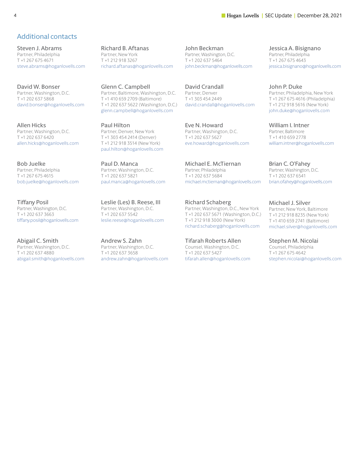#### 4 **Ingan Lovells** | SEC Update | December 28, 2021

#### Additional contacts

Steven J. Abrams Partner, Philadelphia T +1 267 675 4671 [steve.abrams@hoganlovells.com](mailto:steve.abrams%40hoganlovells.com?subject=)

David W. Bonser Partner, Washington, D.C. T +1 202 637 5868 [david.bonser@hoganlovells.com](mailto:david.bonser%40hoganlovells.com?subject=)

Allen Hicks Partner, Washington, D.C. T +1 202 637 6420 [allen.hicks@hoganlovells.com](mailto:allen.hicks%40hoganlovells.com?subject=)

Bob Juelke Partner, Philadelphia T +1 267 675 4615 [bob.juelke@hoganlovells.com](mailto:bob.juelke%40hoganlovells.com?subject=)

Tiffany Posil Partner, Washington, D.C. T +1 202 637 3663 [tiffany.posil@hoganlovells.com](mailto:tiffany.posil%40hoganlovells.com?subject=)

Abigail C. Smith Partner, Washington, D.C. T +1 202 637 4880 abigail.smith[@hoganlovells.com](mailto:abigail.smith%40hoganlovells.com?subject=) Richard B. Aftanas Partner, New York T +1 212 918 3267 [richard.aftanas@hoganlovells.com](mailto:richard.aftanas%40hoganlovells.com?subject=)

Glenn C. Campbell Partner, Baltimore, Washington, D.C. T +1 410 659 2709 (Baltimore) T +1 202 637 5622 (Washington, D.C.) [glenn.campbell@hoganlovells.com](mailto:glenn.campbell%40hoganlovells.com?subject=)

Paul Hilton Partner, Denver, New York T +1 303 454 2414 (Denver) T +1 212 918 3514 (New York) [paul.hilton@hoganlovells.com](mailto:paul.hilton%40hoganlovells.com?subject=)

Paul D. Manca Partner, Washington, D.C. T +1 202 637 5821 [paul.manca@hoganlovells.com](mailto:paul.manca%40hoganlovells.com?subject=)

Leslie (Les) B. Reese, III Partner, Washington, D.C. T +1 202 637 5542 [leslie.reese@hoganlovells.com](mailto:leslie.reese%40hoganlovells.com?subject=)

Andrew S. Zahn Partner, Washington, D.C. T +1 202 637 3658 [andrew.zahn@hoganlovells.com](mailto:andrew.zahn%40hoganlovells.com?subject=) John Beckman Partner, Washington, D.C. T +1 202 637 5464 [john.beckman@hoganlovells.com](mailto:john.beckman%40hoganlovells.com?subject=)

David Crandall Partner, Denver T +1 303 454 2449 david.crandal[l@hoganlovells.com](mailto:david.crandall%40hoganlovells.com?subject=)

Eve N. Howard Partner, Washington, D.C. T +1 202 637 5627 eve.howard[@hoganlovells.com](mailto:eve.howard%40hoganlovells.com?subject=)

Michael E. McTiernan Partner, Philadelphia T +1 202 637 5684 [michael.mctiernan@hoganlovells.com](mailto:michael.mctiernan%40hoganlovells.com?subject=)

Richard Schaberg Partner, Washington, D.C., New York T +1 202 637 5671 (Washington, D.C.) T +1 212 918 3000 (New York) [richard.schaberg@hoganlovells.com](mailto:richard.schaberg%40hoganlovells.com?subject=)

Tifarah Roberts Allen Counsel, Washington, D.C. T +1 202 637 5427 [tifarah.allen@hoganlovells.com](mailto:tifarah.allen%40hoganlovells.com?subject=) Jessica A. Bisignano Partner, Philadelphia T +1 267 675 4643 [jessica.bisignano@hoganlovells.com](mailto:jessica.bisignano%40hoganlovells.com?subject=)

John P. Duke Partner, Philadelphia, New York T +1 267 675 4616 (Philadelphia) T +1 212 918 5616 (New York) [john.duke@hoganlovells.com](mailto:john.duke%40hoganlovells.com?subject=)

William I. Intner Partner, Baltimore T +1 410 659 2778 [william.intner@hoganlovells.com](mailto:william.intner%40hoganlovells.com?subject=)

Brian C. O'Fahey Partner, Washington, D.C. T +1 202 637 6541 [brian.ofahey@hoganlovells.com](mailto:brian.ofahey%40hoganlovells.com?subject=)

Michael J. Silver Partner, New York, Baltimore T +1 212 918 8235 (New York) T +1 410 659 2741 (Baltimore) [michael.silver@hoganlovells.com](mailto:michael.silver%40hoganlovells.com?subject=)

Stephen M. Nicolai Counsel, Philadelphia T +1 267 675 4642 stephen.nicola[i@hoganlovells.com](mailto:stephen.nicolai%40hoganlovells.com?subject=)